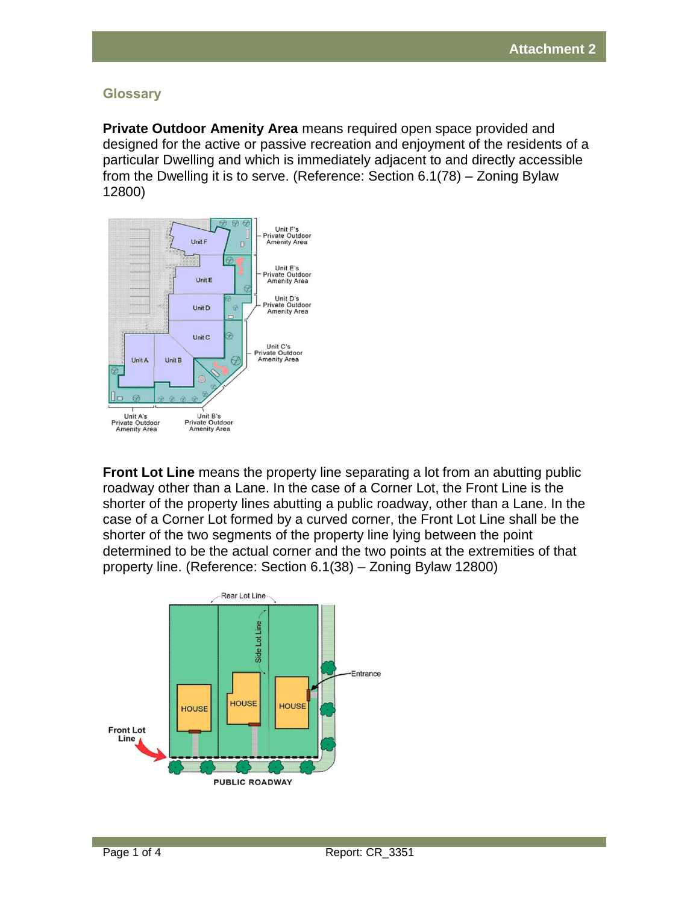## **Glossary**

**Private Outdoor Amenity Area** means required open space provided and designed for the active or passive recreation and enjoyment of the residents of a particular Dwelling and which is immediately adjacent to and directly accessible from the Dwelling it is to serve. (Reference: Section 6.1(78) – Zoning Bylaw 12800)



**Front Lot Line** means the property line separating a lot from an abutting public roadway other than a Lane. In the case of a Corner Lot, the Front Line is the shorter of the property lines abutting a public roadway, other than a Lane. In the case of a Corner Lot formed by a curved corner, the Front Lot Line shall be the shorter of the two segments of the property line lying between the point determined to be the actual corner and the two points at the extremities of that property line. (Reference: Section 6.1(38) – Zoning Bylaw 12800)

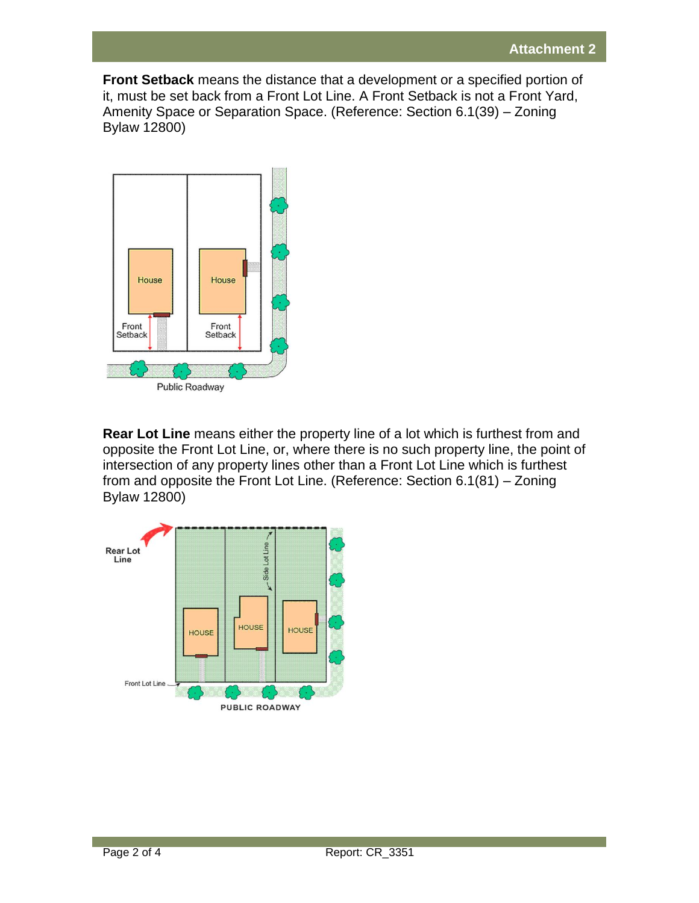**Front Setback** means the distance that a development or a specified portion of it, must be set back from a Front Lot Line. A Front Setback is not a Front Yard, Amenity Space or Separation Space. (Reference: Section 6.1(39) – Zoning Bylaw 12800)



**Rear Lot Line** means either the property line of a lot which is furthest from and opposite the Front Lot Line, or, where there is no such property line, the point of intersection of any property lines other than a Front Lot Line which is furthest from and opposite the Front Lot Line. (Reference: Section 6.1(81) – Zoning Bylaw 12800)

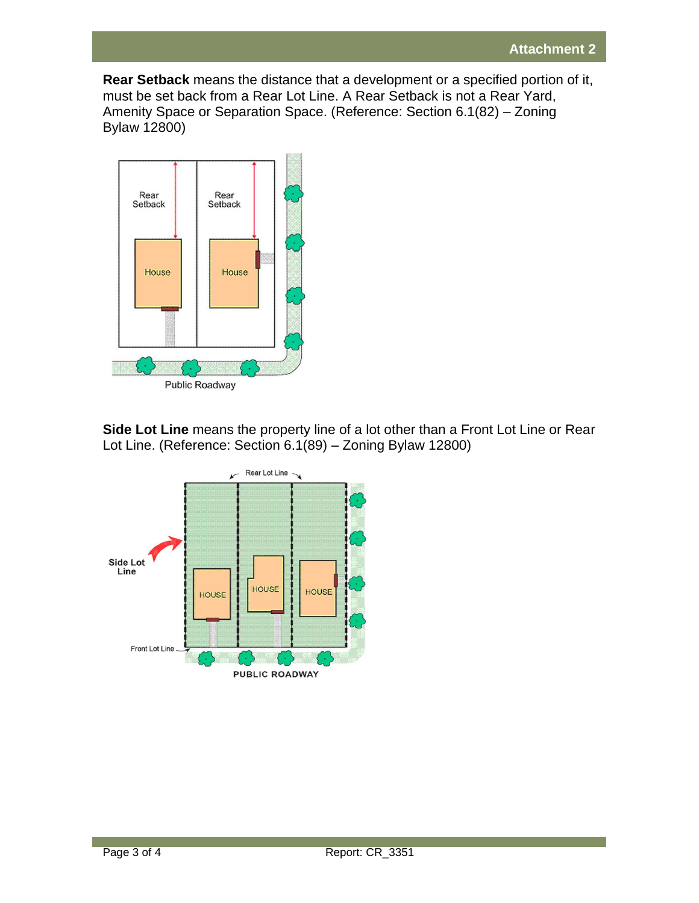**Rear Setback** means the distance that a development or a specified portion of it, must be set back from a Rear Lot Line. A Rear Setback is not a Rear Yard, Amenity Space or Separation Space. (Reference: Section 6.1(82) – Zoning Bylaw 12800)



**Side Lot Line** means the property line of a lot other than a Front Lot Line or Rear Lot Line. (Reference: Section 6.1(89) – Zoning Bylaw 12800)